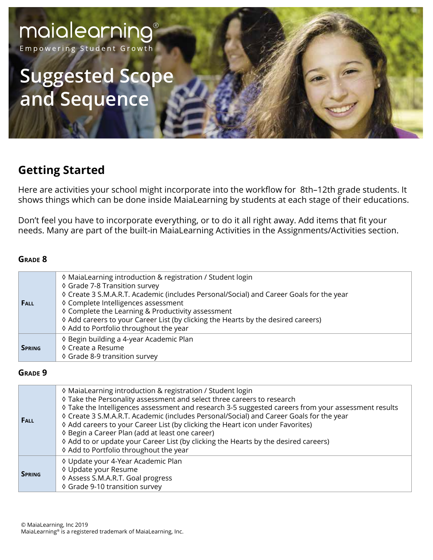Empowering Student Growth

# **Suggested Scope and Sequence**

# **Getting Started**

Here are activities your school might incorporate into the workflow for 8th–12th grade students. It shows things which can be done inside MaiaLearning by students at each stage of their educations.

Don't feel you have to incorporate everything, or to do it all right away. Add items that fit your needs. Many are part of the built-in MaiaLearning Activities in the Assignments/Activities section.

#### **Grade 8**

| <b>FALL</b>   | ♦ MaiaLearning introduction & registration / Student login<br>♦ Grade 7-8 Transition survey<br>♦ Create 3 S.M.A.R.T. Academic (includes Personal/Social) and Career Goals for the year<br>♦ Complete Intelligences assessment<br>♦ Complete the Learning & Productivity assessment<br>♦ Add careers to your Career List (by clicking the Hearts by the desired careers)<br>♦ Add to Portfolio throughout the year |
|---------------|-------------------------------------------------------------------------------------------------------------------------------------------------------------------------------------------------------------------------------------------------------------------------------------------------------------------------------------------------------------------------------------------------------------------|
| <b>SPRING</b> | ♦ Begin building a 4-year Academic Plan<br>♦ Create a Resume<br>♦ Grade 8-9 transition survey                                                                                                                                                                                                                                                                                                                     |

#### **Grade 9**

| FALL          | ♦ MaiaLearning introduction & registration / Student login<br>♦ Take the Personality assessment and select three careers to research<br>♦ Take the Intelligences assessment and research 3-5 suggested careers from your assessment results<br>♦ Create 3 S.M.A.R.T. Academic (includes Personal/Social) and Career Goals for the year<br>♦ Add careers to your Career List (by clicking the Heart icon under Favorites)<br>♦ Begin a Career Plan (add at least one career)<br>♦ Add to or update your Career List (by clicking the Hearts by the desired careers)<br>♦ Add to Portfolio throughout the year |
|---------------|--------------------------------------------------------------------------------------------------------------------------------------------------------------------------------------------------------------------------------------------------------------------------------------------------------------------------------------------------------------------------------------------------------------------------------------------------------------------------------------------------------------------------------------------------------------------------------------------------------------|
| <b>SPRING</b> | ♦ Update your 4-Year Academic Plan<br>♦ Update your Resume<br>♦ Assess S.M.A.R.T. Goal progress<br>♦ Grade 9-10 transition survey                                                                                                                                                                                                                                                                                                                                                                                                                                                                            |